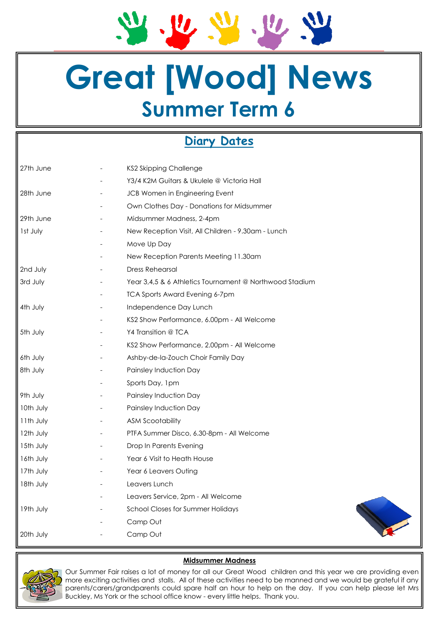$\mathbf{u}$  $U, U$ 

# **Great [Wood] News Summer Term 6**

### **Diary Dates**

| 27th June | <b>KS2 Skipping Challenge</b>                           |
|-----------|---------------------------------------------------------|
|           | Y3/4 K2M Guitars & Ukulele @ Victoria Hall              |
| 28th June | JCB Women in Engineering Event                          |
|           | Own Clothes Day - Donations for Midsummer               |
| 29th June | Midsummer Madness, 2-4pm                                |
| Ist July  | New Reception Visit, All Children - 9.30am - Lunch      |
|           | Move Up Day                                             |
|           | New Reception Parents Meeting 11.30am                   |
| 2nd July  | <b>Dress Rehearsal</b>                                  |
| 3rd July  | Year 3,4,5 & 6 Athletics Tournament @ Northwood Stadium |
|           | <b>TCA Sports Award Evening 6-7pm</b>                   |
| 4th July  | Independence Day Lunch                                  |
|           | KS2 Show Performance, 6.00pm - All Welcome              |
| 5th July  | Y4 Transition @ TCA                                     |
|           | KS2 Show Performance, 2.00pm - All Welcome              |
| 6th July  | Ashby-de-la-Zouch Choir Family Day                      |
| 8th July  | Painsley Induction Day                                  |
|           | Sports Day, 1pm                                         |
| 9th July  | Painsley Induction Day                                  |
| 10th July | Painsley Induction Day                                  |
| 11th July | <b>ASM Scootability</b>                                 |
| 12th July | PTFA Summer Disco, 6.30-8pm - All Welcome               |
| 15th July | Drop In Parents Evening                                 |
| 16th July | Year 6 Visit to Heath House                             |
| 17th July | Year 6 Leavers Outing                                   |
| 18th July | Leavers Lunch                                           |
|           | Leavers Service, 2pm - All Welcome                      |
| 19th July | <b>School Closes for Summer Holidays</b>                |
|           | Camp Out                                                |
| 20th July | Camp Out                                                |
|           |                                                         |



### **Midsummer Madness**

Our Summer Fair raises a lot of money for all our Great Wood children and this year we are providing even more exciting activities and stalls. All of these activities need to be manned and we would be grateful if any parents/carers/grandparents could spare half an hour to help on the day. If you can help please let Mrs Buckley, Ms York or the school office know - every little helps. Thank you.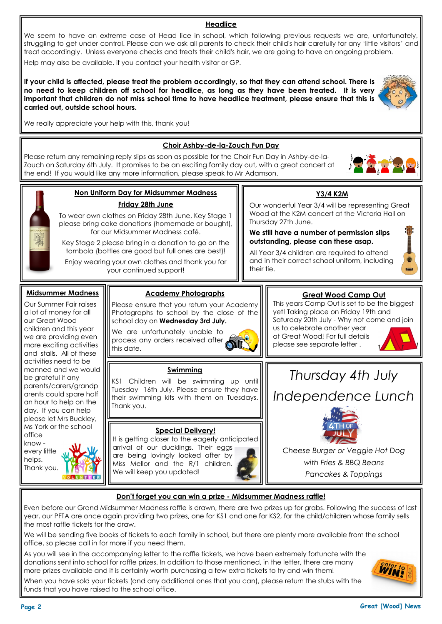### **Page 2 Great [Wood] News**

**WINE** 

We seem to have an extreme case of Head lice in school, which following previous requests we are, unfortunately, struggling to get under control. Please can we ask all parents to check their child's hair carefully for any 'little visitors' and treat accordingly. Unless everyone checks and treats their child's hair, we are going to have an ongoing problem. Help may also be available, if you contact your health visitor or GP.

**If your child is affected, please treat the problem accordingly, so that they can attend school. There is no need to keep children off school for headlice, as long as they have been treated. It is very important that children do not miss school time to have headlice treatment, please ensure that this is carried out, outside school hours.**

We really appreciate your help with this, thank you!

### **Choir Ashby-de-la-Zouch Fun Day**

Please return any remaining reply slips as soon as possible for the Choir Fun Day in Ashby-de-la-Zouch on Saturday 6th July. It promises to be an exciting family day out, with a great concert at the end! If you would like any more information, please speak to Mr Adamson.

### **Non Uniform Day for Midsummer Madness Friday 28th June**

To wear own clothes on Friday 28th June, Key Stage 1 please bring cake donations (homemade or bought), for our Midsummer Madness café.

Key Stage 2 please bring in a donation to go on the tombola (bottles are good but full ones are best)!

Enjoy wearing your own clothes and thank you for your continued support!

## **Great Wood Camp Out**

Please ensure that you return your Academy Photographs to school by the close of the school day on **Wednesday 3rd July.** 

**Academy Photographs** 

We are unfortunately unable to process any orders received after this date.

#### **Swimming**

KS1 Children will be swimming up until Tuesday 16th July. Please ensure they have their swimming kits with them on Tuesdays. Thank you.

### **Special Delivery!**

It is getting closer to the eagerly anticipated arrival of our ducklings. Their eggs are being lovingly looked after by Miss Mellor and the R/1 children. We will keep you updated!

This years Camp Out is set to be the biggest yet! Taking place on Friday 19th and Saturday 20th July - Why not come and join us to celebrate another year

**Y3/4 K2M** Our wonderful Year 3/4 will be representing Great Wood at the K2M concert at the Victoria Hall on

**We still have a number of permission slips outstanding, please can these asap.** All Year 3/4 children are required to attend and in their correct school uniform, including

Thursday 27th June.

their tie.

at Great Wood! For full details please see separate letter .





*Cheese Burger or Veggie Hot Dog with Fries & BBQ Beans*

*Pancakes & Toppings*

### **Don't forget you can win a prize - Midsummer Madness raffle!**

Even before our Grand Midsummer Madness raffle is drawn, there are two prizes up for grabs. Following the success of last year, our PFTA are once again providing two prizes, one for KS1 and one for KS2, for the child/children whose family sells the most raffle tickets for the draw.

We will be sending five books of tickets to each family in school, but there are plenty more available from the school office, so please call in for more if you need them.

As you will see in the accompanying letter to the raffle tickets, we have been extremely fortunate with the donations sent into school for raffle prizes. In addition to those mentioned, in the letter, there are many more prizes available and it is certainly worth purchasing a few extra tickets to try and win them!

When you have sold your tickets (and any additional ones that you can), please return the stubs with the funds that you have raised to the school office.



**Midsummer Madness** Our Summer Fair raises a lot of money for all our Great Wood children and this year we are providing even more exciting activities and stalls. All of these activities need to be manned and we would be grateful if any parents/carers/grandp arents could spare half an hour to help on the day. If you can help please let Mrs Buckley, Ms York or the school